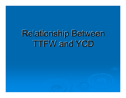## Relationship Between **TTFW and YCD**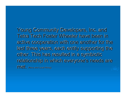Young Community Developers, Inc. and Tetra Tech Foster Wheeler have been in active cooperation with one another for the last three years, each entity supporting the other. This has resulted in <sup>a</sup> symbiotic relationship in which everyone's needs are met. (Navy and Local Hiring)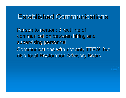## Established Communications

Person to person: direct line of communication between hiring and supervising personnel Communications with not only TTFW, but also local Restoration Advisory Board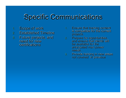## Specific Communications

- 1.. Scope of work
- 2.. Established Timeline
- 3.. Future projects, and need for new certifications
- $\mathsf k$  . The first set of  $\mathsf n$  . Expect to  $\mathsf n$ Ensure that training content<br>is compatible for the current projects.
	- 2.. Prepare for opportunities, and ensure that clients will be available for the anticipated man power needs.
	- 3.. Provide training in new areas not covered in previous training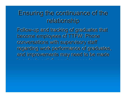## Ensuring the continuance of the relationship

Follow-up and tracking of graduates that become employees of TTFW: Phone conversations with supervisory staff regarding work performance of graduates, and improvements may need to be made in order to satisfy employer  $\theta$  is  $\theta$  is satisfy employer needs. The same of the  $\theta$